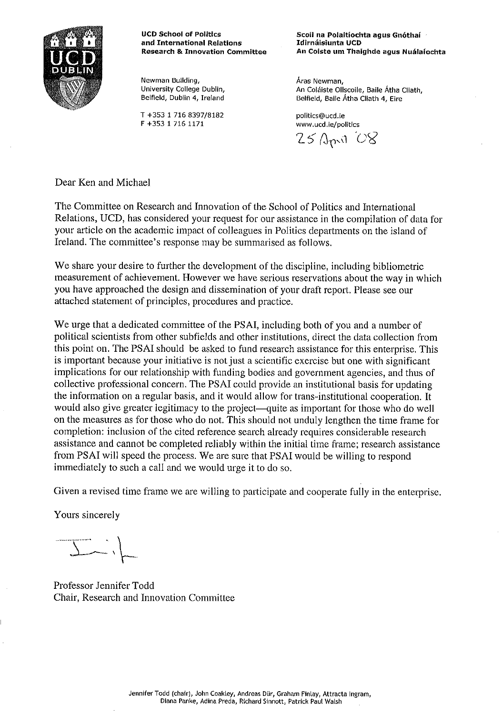

**UCD School of Politics** and International Relations **Research & Innovation Committee** 

Newman Building, University College Dublin, Belfield, Dublin 4, Ireland

T +353 1 716 8397/8182 F +353 1 716 1171

Scoil na Polaitíochta agus Gnóthaí Idirnáisiunta UCD An Coiste um Thaighde agus Nuálaíochta

Aras Newman, An Coláiste Ollscoile, Baile Átha Cliath, Belfield, Baile Átha Cliath 4, Eire

politics@ucd.ie www.ucd.ie/politics

 $25$   $\Delta$ pril  $OS$ 

Dear Ken and Michael

The Committee on Research and Innovation of the School of Politics and International Relations, UCD, has considered your request for our assistance in the compilation of data for your article on the academic impact of colleagues in Politics departments on the island of Ireland. The committee's response may be summarised as follows.

We share your desire to further the development of the discipline, including bibliometric measurement of achievement. However we have serious reservations about the way in which you have approached the design and dissemination of your draft report. Please see our attached statement of principles, procedures and practice.

We urge that a dedicated committee of the PSAI, including both of you and a number of political scientists from other subfields and other institutions, direct the data collection from this point on. The PSAI should be asked to fund research assistance for this enterprise. This is important because your initiative is not just a scientific exercise but one with significant implications for our relationship with funding bodies and government agencies, and thus of collective professional concern. The PSAI could provide an institutional basis for updating the information on a regular basis, and it would allow for trans-institutional cooperation. It would also give greater legitimacy to the project—quite as important for those who do well on the measures as for those who do not. This should not unduly lengthen the time frame for completion: inclusion of the cited reference search already requires considerable research assistance and cannot be completed reliably within the initial time frame; research assistance from PSAI will speed the process. We are sure that PSAI would be willing to respond immediately to such a call and we would urge it to do so.

Given a revised time frame we are willing to participate and cooperate fully in the enterprise.

Yours sincerely

Professor Jennifer Todd Chair, Research and Innovation Committee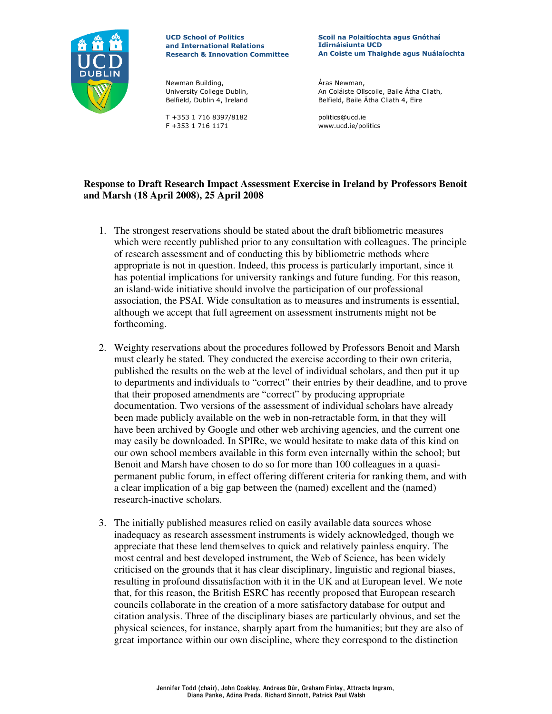

**UCD School of Politics** and International Relations **Research & Innovation Committee** 

Newman Building, University College Dublin, Belfield, Dublin 4, Ireland

T +353 1 716 8397/8182 F +353 1 716 1171

Scoil na Polaitíochta agus Gnóthaí **Idirnáisiunta UCD** An Coiste um Thaighde agus Nuálaíochta

Áras Newman, An Coláiste Ollscoile, Baile Átha Cliath, Belfield, Baile Átha Cliath 4, Eire

politics@ucd.ie www.ucd.ie/politics

## Response to Draft Research Impact Assessment Exercise in Ireland by Professors Benoit and Marsh (18 April 2008), 25 April 2008

- 1. The strongest reservations should be stated about the draft bibliometric measures which were recently published prior to any consultation with colleagues. The principle of research assessment and of conducting this by bibliometric methods where appropriate is not in question. Indeed, this process is particularly important, since it has potential implications for university rankings and future funding. For this reason, an island-wide initiative should involve the participation of our professional association, the PSAI. Wide consultation as to measures and instruments is essential, although we accept that full agreement on assessment instruments might not be forthcoming.
- 2. Weighty reservations about the procedures followed by Professors Benoit and Marsh must clearly be stated. They conducted the exercise according to their own criteria, published the results on the web at the level of individual scholars, and then put it up to departments and individuals to "correct" their entries by their deadline, and to prove that their proposed amendments are "correct" by producing appropriate documentation. Two versions of the assessment of individual scholars have already been made publicly available on the web in non-retractable form, in that they will have been archived by Google and other web archiving agencies, and the current one may easily be downloaded. In SPIRe, we would hesitate to make data of this kind on our own school members available in this form even internally within the school; but Benoit and Marsh have chosen to do so for more than 100 colleagues in a quasipermanent public forum, in effect offering different criteria for ranking them, and with a clear implication of a big gap between the (named) excellent and the (named) research-inactive scholars.
- 3. The initially published measures relied on easily available data sources whose inadequacy as research assessment instruments is widely acknowledged, though we appreciate that these lend themselves to quick and relatively painless enquiry. The most central and best developed instrument, the Web of Science, has been widely criticised on the grounds that it has clear disciplinary, linguistic and regional biases, resulting in profound dissatisfaction with it in the UK and at European level. We note that, for this reason, the British ESRC has recently proposed that European research councils collaborate in the creation of a more satisfactory database for output and citation analysis. Three of the disciplinary biases are particularly obvious, and set the physical sciences, for instance, sharply apart from the humanities; but they are also of great importance within our own discipline, where they correspond to the distinction